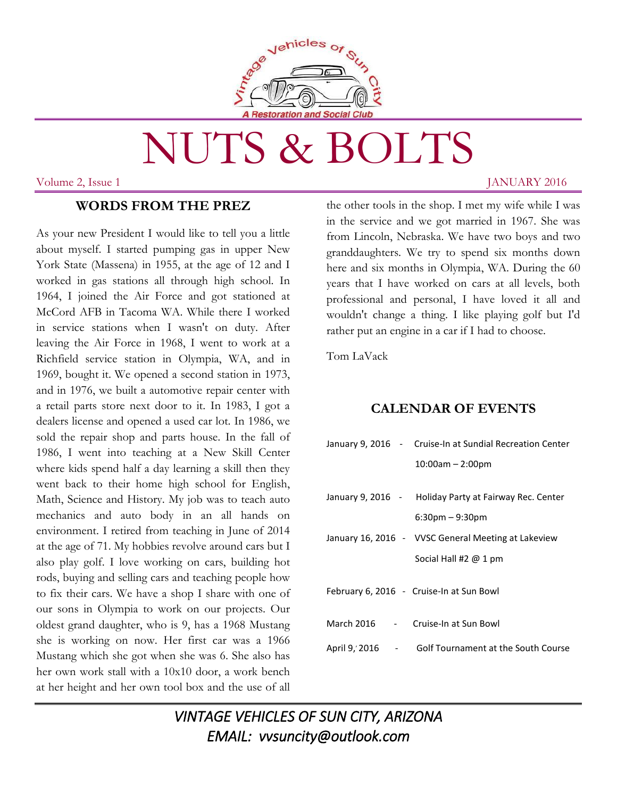

# NUTS & BOLTS

Volume 2, Issue 1 JANUARY 2016

## **WORDS FROM THE PREZ**

As your new President I would like to tell you a little about myself. I started pumping gas in upper New York State (Massena) in 1955, at the age of 12 and I worked in gas stations all through high school. In 1964, I joined the Air Force and got stationed at McCord AFB in Tacoma WA. While there I worked in service stations when I wasn't on duty. After leaving the Air Force in 1968, I went to work at a Richfield service station in Olympia, WA, and in 1969, bought it. We opened a second station in 1973, and in 1976, we built a automotive repair center with a retail parts store next door to it. In 1983, I got a dealers license and opened a used car lot. In 1986, we sold the repair shop and parts house. In the fall of 1986, I went into teaching at a New Skill Center where kids spend half a day learning a skill then they went back to their home high school for English, Math, Science and History. My job was to teach auto mechanics and auto body in an all hands on environment. I retired from teaching in June of 2014 at the age of 71. My hobbies revolve around cars but I also play golf. I love working on cars, building hot rods, buying and selling cars and teaching people how to fix their cars. We have a shop I share with one of our sons in Olympia to work on our projects. Our oldest grand daughter, who is 9, has a 1968 Mustang she is working on now. Her first car was a 1966 Mustang which she got when she was 6. She also has her own work stall with a 10x10 door, a work bench at her height and her own tool box and the use of all

the other tools in the shop. I met my wife while I was in the service and we got married in 1967. She was from Lincoln, Nebraska. We have two boys and two granddaughters. We try to spend six months down here and six months in Olympia, WA. During the 60 years that I have worked on cars at all levels, both professional and personal, I have loved it all and wouldn't change a thing. I like playing golf but I'd rather put an engine in a car if I had to choose.

Tom LaVack

# **CALENDAR OF EVENTS**

|                                          | January 9, 2016 - Cruise-In at Sundial Recreation Center |
|------------------------------------------|----------------------------------------------------------|
|                                          | 10:00am – 2:00pm                                         |
|                                          |                                                          |
|                                          | January 9, 2016 - Holiday Party at Fairway Rec. Center   |
|                                          | $6:30$ pm – 9:30pm                                       |
|                                          | January 16, 2016 - VVSC General Meeting at Lakeview      |
|                                          | Social Hall #2 $@$ 1 pm                                  |
| February 6, 2016 - Cruise-In at Sun Bowl |                                                          |
|                                          | March 2016 - Cruise-In at Sun Bowl                       |
| April 9, 2016 -                          | Golf Tournament at the South Course                      |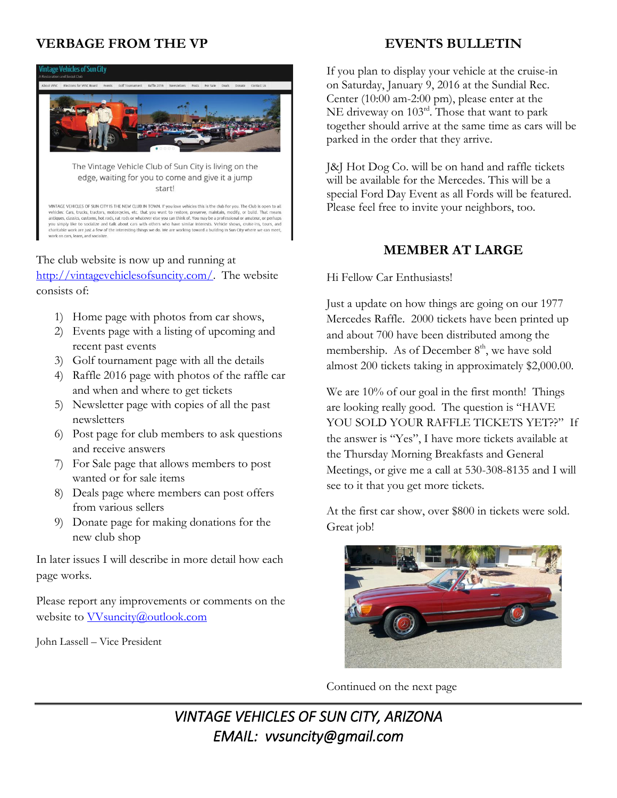# **VERBAGE FROM THE VP**



edge, waiting for you to come and give it a jump start!

VINTAGE VEHICLES OF SUN CITY IS THE NEW CLUB IN TOWN. If you love vehicles this is the club for you. The Club is open to all WH MAL CHELLES OF SUN CLITS LIFE NEW CLUB IN 100W WI. If you towe ventues mis S the coup for you. The Club is open to all the vehicles: Cars, trucks, tractors, instorcycles, etc. that you want to restore, preserve, maintai work on cars, learn, and socialize

The club website is now up and running at [http://vintagevehiclesofsuncity.com/.](http://vintagevehiclesofsuncity.com/) The website consists of:

- 1) Home page with photos from car shows,
- 2) Events page with a listing of upcoming and recent past events
- 3) Golf tournament page with all the details
- 4) Raffle 2016 page with photos of the raffle car and when and where to get tickets
- 5) Newsletter page with copies of all the past newsletters
- 6) Post page for club members to ask questions and receive answers
- 7) For Sale page that allows members to post wanted or for sale items
- 8) Deals page where members can post offers from various sellers
- 9) Donate page for making donations for the new club shop

In later issues I will describe in more detail how each page works.

Please report any improvements or comments on the website to [VVsuncity@outlook.com](mailto:VVsuncity@outlook.com)

John Lassell – Vice President

# **EVENTS BULLETIN**

If you plan to display your vehicle at the cruise-in on Saturday, January 9, 2016 at the Sundial Rec. Center (10:00 am-2:00 pm), please enter at the NE driveway on 103rd. Those that want to park together should arrive at the same time as cars will be parked in the order that they arrive.

J&J Hot Dog Co. will be on hand and raffle tickets will be available for the Mercedes. This will be a special Ford Day Event as all Fords will be featured. Please feel free to invite your neighbors, too.

## **MEMBER AT LARGE**

Hi Fellow Car Enthusiasts!

Just a update on how things are going on our 1977 Mercedes Raffle. 2000 tickets have been printed up and about 700 have been distributed among the membership. As of December  $8<sup>th</sup>$ , we have sold almost 200 tickets taking in approximately \$2,000.00.

We are 10% of our goal in the first month! Things are looking really good. The question is "HAVE YOU SOLD YOUR RAFFLE TICKETS YET??" If the answer is "Yes", I have more tickets available at the Thursday Morning Breakfasts and General Meetings, or give me a call at 530-308-8135 and I will see to it that you get more tickets.

At the first car show, over \$800 in tickets were sold. Great job!



Continued on the next page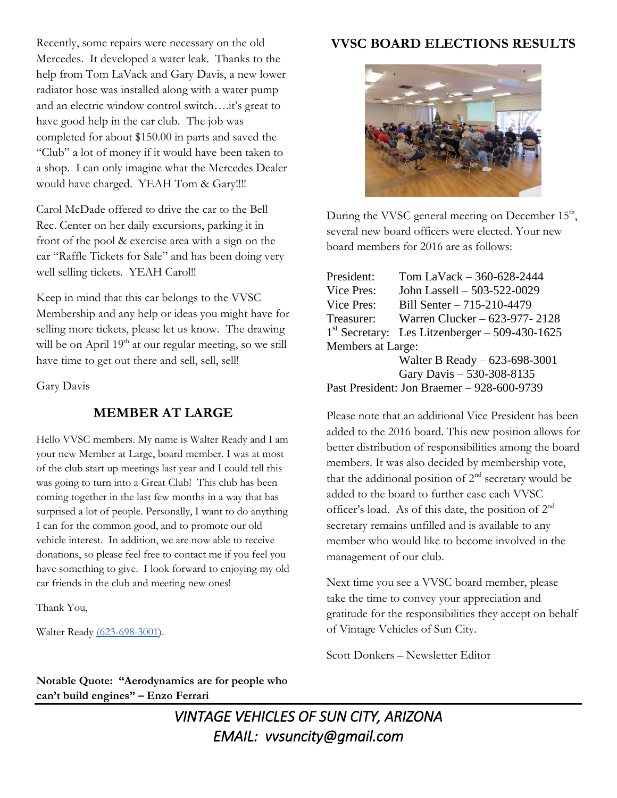Recently, some repairs were necessary on the old Mercedes. It developed a water leak. Thanks to the help from Tom LaVack and Gary Davis, a new lower radiator hose was installed along with a water pump and an electric window control switch….it's great to have good help in the car club. The job was completed for about \$150.00 in parts and saved the "Club" a lot of money if it would have been taken to a shop. I can only imagine what the Mercedes Dealer would have charged. YEAH Tom & Gary!!!!

Carol McDade offered to drive the car to the Bell Rec. Center on her daily excursions, parking it in front of the pool & exercise area with a sign on the car "Raffle Tickets for Sale" and has been doing very well selling tickets. YEAH Carol!!

Keep in mind that this car belongs to the VVSC Membership and any help or ideas you might have for selling more tickets, please let us know. The drawing will be on April 19<sup>th</sup> at our regular meeting, so we still have time to get out there and sell, sell, sell!

Gary Davis

## **MEMBER AT LARGE**

Hello VVSC members. My name is Walter Ready and I am your new Member at Large, board member. I was at most of the club start up meetings last year and I could tell this was going to turn into a Great Club! This club has been coming together in the last few months in a way that has surprised a lot of people. Personally, I want to do anything I can for the common good, and to promote our old vehicle interest. In addition, we are now able to receive donations, so please feel free to contact me if you feel you have something to give. I look forward to enjoying my old car friends in the club and meeting new ones!

Thank You,

Walter Ready [\(623-698-3001\)](tel:%28623-698-3001).

## **VVSC BOARD ELECTIONS RESULTS**



During the VVSC general meeting on December 15<sup>th</sup>, several new board officers were elected. Your new board members for 2016 are as follows:

| President:                                 | Tom LaVack - 360-628-2444                        |
|--------------------------------------------|--------------------------------------------------|
| Vice Pres:                                 | John Lassell - 503-522-0029                      |
| Vice Pres:                                 | Bill Senter - 715-210-4479                       |
| Treasurer:                                 | Warren Clucker - 623-977- 2128                   |
|                                            | $1st$ Secretary: Les Litzenberger – 509-430-1625 |
| Members at Large:                          |                                                  |
|                                            | Walter B Ready - 623-698-3001                    |
|                                            | Gary Davis - 530-308-8135                        |
| Past President: Jon Braemer - 928-600-9739 |                                                  |

Please note that an additional Vice President has been added to the 2016 board. This new position allows for better distribution of responsibilities among the board members. It was also decided by membership vote, that the additional position of  $2<sup>nd</sup>$  secretary would be added to the board to further ease each VVSC officer's load. As of this date, the position of  $2<sup>nd</sup>$ secretary remains unfilled and is available to any member who would like to become involved in the management of our club.

Next time you see a VVSC board member, please take the time to convey your appreciation and gratitude for the responsibilities they accept on behalf of Vintage Vehicles of Sun City.

Scott Donkers – Newsletter Editor

**Notable Quote: "Aerodynamics are for people who can't build engines" – Enzo Ferrari**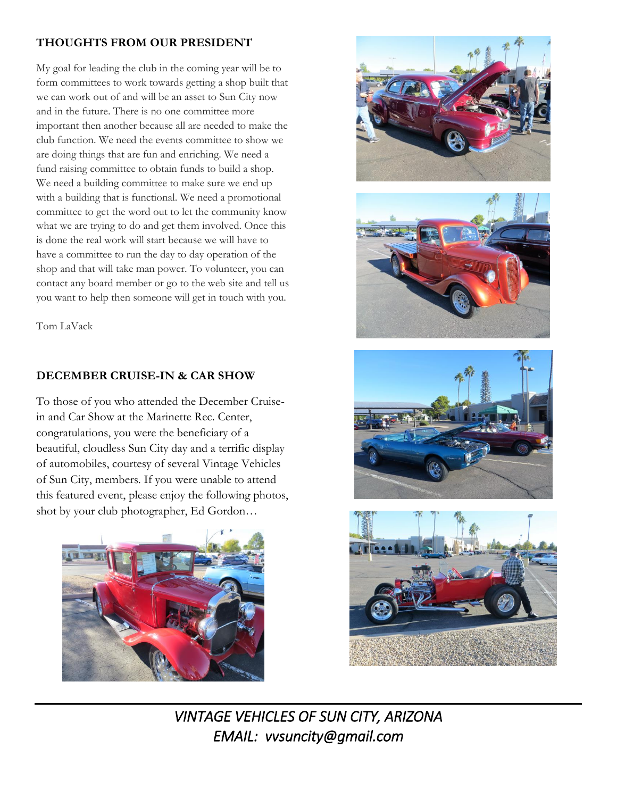## **THOUGHTS FROM OUR PRESIDENT**

My goal for leading the club in the coming year will be to form committees to work towards getting a shop built that we can work out of and will be an asset to Sun City now and in the future. There is no one committee more important then another because all are needed to make the club function. We need the events committee to show we are doing things that are fun and enriching. We need a fund raising committee to obtain funds to build a shop. We need a building committee to make sure we end up with a building that is functional. We need a promotional committee to get the word out to let the community know what we are trying to do and get them involved. Once this is done the real work will start because we will have to have a committee to run the day to day operation of the shop and that will take man power. To volunteer, you can contact any board member or go to the web site and tell us you want to help then someone will get in touch with you.

Tom LaVack

#### **DECEMBER CRUISE-IN & CAR SHOW**

To those of you who attended the December Cruisein and Car Show at the Marinette Rec. Center, congratulations, you were the beneficiary of a beautiful, cloudless Sun City day and a terrific display of automobiles, courtesy of several Vintage Vehicles of Sun City, members. If you were unable to attend this featured event, please enjoy the following photos, shot by your club photographer, Ed Gordon…